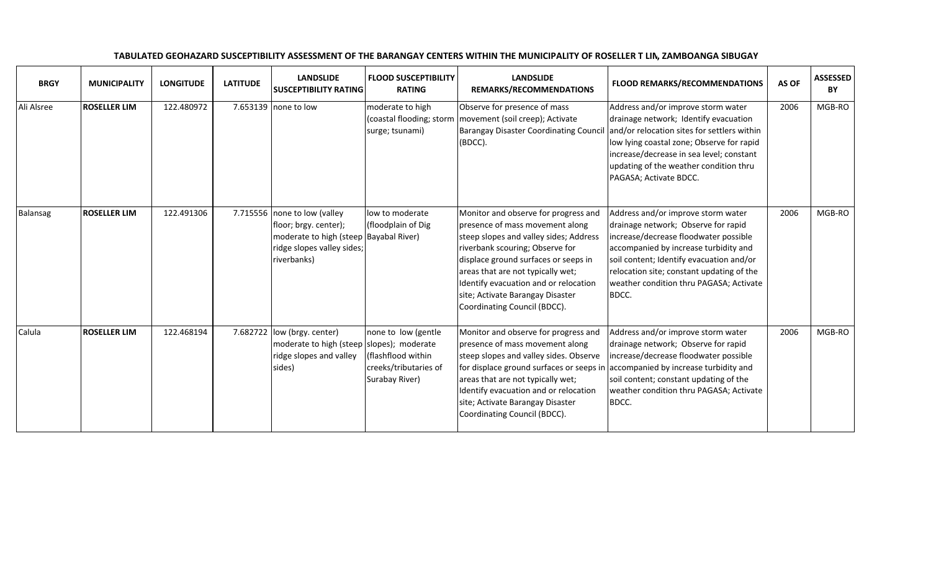| <b>BRGY</b> | <b>MUNICIPALITY</b> | <b>LONGITUDE</b> | <b>LATITUDE</b> | <b>LANDSLIDE</b><br><b>SUSCEPTIBILITY RATING</b>                                                                                             | <b>FLOOD SUSCEPTIBILITY</b><br><b>RATING</b>                                         | <b>LANDSLIDE</b><br>REMARKS/RECOMMENDATIONS                                                                                                                                                                                                                                                                                                           | <b>FLOOD REMARKS/RECOMMENDATIONS</b>                                                                                                                                                                                                                                                                     | AS OF | <b>ASSESSED</b><br>BY |
|-------------|---------------------|------------------|-----------------|----------------------------------------------------------------------------------------------------------------------------------------------|--------------------------------------------------------------------------------------|-------------------------------------------------------------------------------------------------------------------------------------------------------------------------------------------------------------------------------------------------------------------------------------------------------------------------------------------------------|----------------------------------------------------------------------------------------------------------------------------------------------------------------------------------------------------------------------------------------------------------------------------------------------------------|-------|-----------------------|
| Ali Alsree  | <b>ROSELLER LIM</b> | 122.480972       |                 | 7.653139 none to low                                                                                                                         | moderate to high<br>(coastal flooding; storm<br>surge; tsunami)                      | Observe for presence of mass<br>movement (soil creep); Activate<br><b>Barangay Disaster Coordinating Council</b><br>(BDCC).                                                                                                                                                                                                                           | Address and/or improve storm water<br>drainage network; Identify evacuation<br>and/or relocation sites for settlers within<br>low lying coastal zone; Observe for rapid<br>increase/decrease in sea level; constant<br>updating of the weather condition thru<br>PAGASA; Activate BDCC.                  | 2006  | MGB-RO                |
| Balansag    | <b>ROSELLER LIM</b> | 122.491306       |                 | 7.715556 none to low (valley<br>floor; brgy. center);<br>moderate to high (steep Bayabal River)<br>ridge slopes valley sides;<br>riverbanks) | low to moderate<br>(floodplain of Dig                                                | Monitor and observe for progress and<br>presence of mass movement along<br>steep slopes and valley sides; Address<br>riverbank scouring; Observe for<br>displace ground surfaces or seeps in<br>areas that are not typically wet;<br>Identify evacuation and or relocation<br>site; Activate Barangay Disaster<br>Coordinating Council (BDCC).        | Address and/or improve storm water<br>drainage network; Observe for rapid<br>increase/decrease floodwater possible<br>accompanied by increase turbidity and<br>soil content; Identify evacuation and/or<br>relocation site; constant updating of the<br>weather condition thru PAGASA; Activate<br>BDCC. | 2006  | MGB-RO                |
| Calula      | <b>ROSELLER LIM</b> | 122.468194       |                 | 7.682722 $ low (brgy. center)$<br>moderate to high (steep slopes); moderate<br>ridge slopes and valley<br>sides)                             | none to low (gentle<br>(flashflood within<br>creeks/tributaries of<br>Surabay River) | Monitor and observe for progress and<br>presence of mass movement along<br>steep slopes and valley sides. Observe<br>for displace ground surfaces or seeps in accompanied by increase turbidity and<br>areas that are not typically wet;<br>Identify evacuation and or relocation<br>site; Activate Barangay Disaster<br>Coordinating Council (BDCC). | Address and/or improve storm water<br>drainage network; Observe for rapid<br>increase/decrease floodwater possible<br>soil content; constant updating of the<br>weather condition thru PAGASA; Activate<br>BDCC.                                                                                         | 2006  | MGB-RO                |

## TABULATED GEOHAZARD SUSCEPTIBILITY ASSESSMENT OF THE BARANGAY CENTERS WITHIN THE MUNICIPALITY OF ROSELLER T LIM, ZAMBOANGA SIBUGAY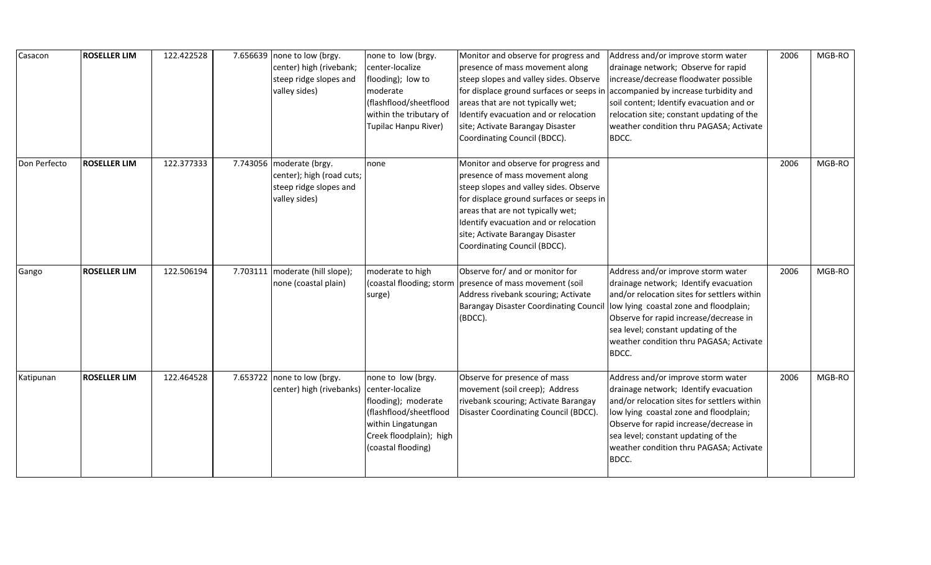| Casacon      | <b>ROSELLER LIM</b> | 122.422528 | 7.656639 none to low (brgy.<br>center) high (rivebank;<br>steep ridge slopes and<br>valley sides) | none to low (brgy.<br>center-localize<br>flooding); low to<br>moderate<br>(flashflood/sheetflood<br>within the tributary of<br>Tupilac Hanpu River)           | Monitor and observe for progress and<br>presence of mass movement along<br>steep slopes and valley sides. Observe<br>for displace ground surfaces or seeps in<br>areas that are not typically wet;<br>Identify evacuation and or relocation<br>site; Activate Barangay Disaster<br>Coordinating Council (BDCC). | Address and/or improve storm water<br>drainage network; Observe for rapid<br>increase/decrease floodwater possible<br>accompanied by increase turbidity and<br>soil content; Identify evacuation and or<br>relocation site; constant updating of the<br>weather condition thru PAGASA; Activate<br>BDCC.  | 2006 | MGB-RO |
|--------------|---------------------|------------|---------------------------------------------------------------------------------------------------|---------------------------------------------------------------------------------------------------------------------------------------------------------------|-----------------------------------------------------------------------------------------------------------------------------------------------------------------------------------------------------------------------------------------------------------------------------------------------------------------|-----------------------------------------------------------------------------------------------------------------------------------------------------------------------------------------------------------------------------------------------------------------------------------------------------------|------|--------|
| Don Perfecto | <b>ROSELLER LIM</b> | 122.377333 | 7.743056 moderate (brgy.<br>center); high (road cuts;<br>steep ridge slopes and<br>valley sides)  | none                                                                                                                                                          | Monitor and observe for progress and<br>presence of mass movement along<br>steep slopes and valley sides. Observe<br>for displace ground surfaces or seeps in<br>areas that are not typically wet;<br>Identify evacuation and or relocation<br>site; Activate Barangay Disaster<br>Coordinating Council (BDCC). |                                                                                                                                                                                                                                                                                                           | 2006 | MGB-RO |
| Gango        | <b>ROSELLER LIM</b> | 122.506194 | 7.703111   moderate (hill slope);<br>none (coastal plain)                                         | moderate to high<br>(coastal flooding; storm<br>surge)                                                                                                        | Observe for/ and or monitor for<br>presence of mass movement (soil<br>Address rivebank scouring; Activate<br><b>Barangay Disaster Coordinating Council</b><br>(BDCC).                                                                                                                                           | Address and/or improve storm water<br>drainage network; Identify evacuation<br>and/or relocation sites for settlers within<br>low lying coastal zone and floodplain;<br>Observe for rapid increase/decrease in<br>sea level; constant updating of the<br>weather condition thru PAGASA; Activate<br>BDCC. | 2006 | MGB-RO |
| Katipunan    | <b>ROSELLER LIM</b> | 122.464528 | 7.653722   none to low (brgy.<br>center) high (rivebanks)                                         | none to low (brgy.<br>center-localize<br>flooding); moderate<br>(flashflood/sheetflood<br>within Lingatungan<br>Creek floodplain); high<br>(coastal flooding) | Observe for presence of mass<br>movement (soil creep); Address<br>rivebank scouring; Activate Barangay<br>Disaster Coordinating Council (BDCC).                                                                                                                                                                 | Address and/or improve storm water<br>drainage network; Identify evacuation<br>and/or relocation sites for settlers within<br>low lying coastal zone and floodplain;<br>Observe for rapid increase/decrease in<br>sea level; constant updating of the<br>weather condition thru PAGASA; Activate<br>BDCC. | 2006 | MGB-RO |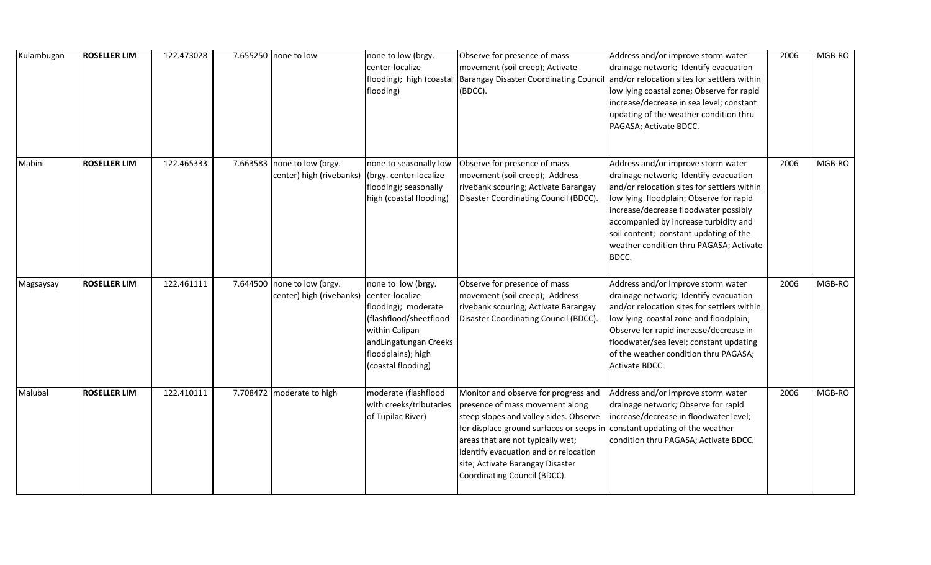| Kulambugan | <b>ROSELLER LIM</b> | 122.473028 |          | 7.655250 none to low                           | none to low (brgy.<br>center-localize<br>flooding)                                                                                                                            | Observe for presence of mass<br>movement (soil creep); Activate<br>flooding); high (coastal   Barangay Disaster Coordinating Council<br>(BDCC).                                                                                                                                                                 | Address and/or improve storm water<br>drainage network; Identify evacuation<br>and/or relocation sites for settlers within<br>low lying coastal zone; Observe for rapid<br>increase/decrease in sea level; constant<br>updating of the weather condition thru<br>PAGASA; Activate BDCC.                                                               | 2006 | MGB-RO |
|------------|---------------------|------------|----------|------------------------------------------------|-------------------------------------------------------------------------------------------------------------------------------------------------------------------------------|-----------------------------------------------------------------------------------------------------------------------------------------------------------------------------------------------------------------------------------------------------------------------------------------------------------------|-------------------------------------------------------------------------------------------------------------------------------------------------------------------------------------------------------------------------------------------------------------------------------------------------------------------------------------------------------|------|--------|
| Mabini     | <b>ROSELLER LIM</b> | 122.465333 | 7.663583 | none to low (brgy.<br>center) high (rivebanks) | none to seasonally low<br>(brgy. center-localize<br>flooding); seasonally<br>high (coastal flooding)                                                                          | Observe for presence of mass<br>movement (soil creep); Address<br>rivebank scouring; Activate Barangay<br>Disaster Coordinating Council (BDCC).                                                                                                                                                                 | Address and/or improve storm water<br>drainage network; Identify evacuation<br>and/or relocation sites for settlers within<br>low lying floodplain; Observe for rapid<br>increase/decrease floodwater possibly<br>accompanied by increase turbidity and<br>soil content; constant updating of the<br>weather condition thru PAGASA; Activate<br>BDCC. | 2006 | MGB-RO |
| Magsaysay  | <b>ROSELLER LIM</b> | 122.461111 | 7.644500 | none to low (brgy.<br>center) high (rivebanks) | none to low (brgy.<br>center-localize<br>flooding); moderate<br>(flashflood/sheetflood<br>within Calipan<br>andLingatungan Creeks<br>floodplains); high<br>(coastal flooding) | Observe for presence of mass<br>movement (soil creep); Address<br>rivebank scouring; Activate Barangay<br>Disaster Coordinating Council (BDCC).                                                                                                                                                                 | Address and/or improve storm water<br>drainage network; Identify evacuation<br>and/or relocation sites for settlers within<br>low lying coastal zone and floodplain;<br>Observe for rapid increase/decrease in<br>floodwater/sea level; constant updating<br>of the weather condition thru PAGASA;<br>Activate BDCC.                                  | 2006 | MGB-RO |
| Malubal    | <b>ROSELLER LIM</b> | 122.410111 | 7.708472 | moderate to high                               | moderate (flashflood<br>with creeks/tributaries<br>of Tupilac River)                                                                                                          | Monitor and observe for progress and<br>presence of mass movement along<br>steep slopes and valley sides. Observe<br>for displace ground surfaces or seeps in<br>areas that are not typically wet;<br>Identify evacuation and or relocation<br>site; Activate Barangay Disaster<br>Coordinating Council (BDCC). | Address and/or improve storm water<br>drainage network; Observe for rapid<br>increase/decrease in floodwater level;<br>constant updating of the weather<br>condition thru PAGASA; Activate BDCC.                                                                                                                                                      | 2006 | MGB-RO |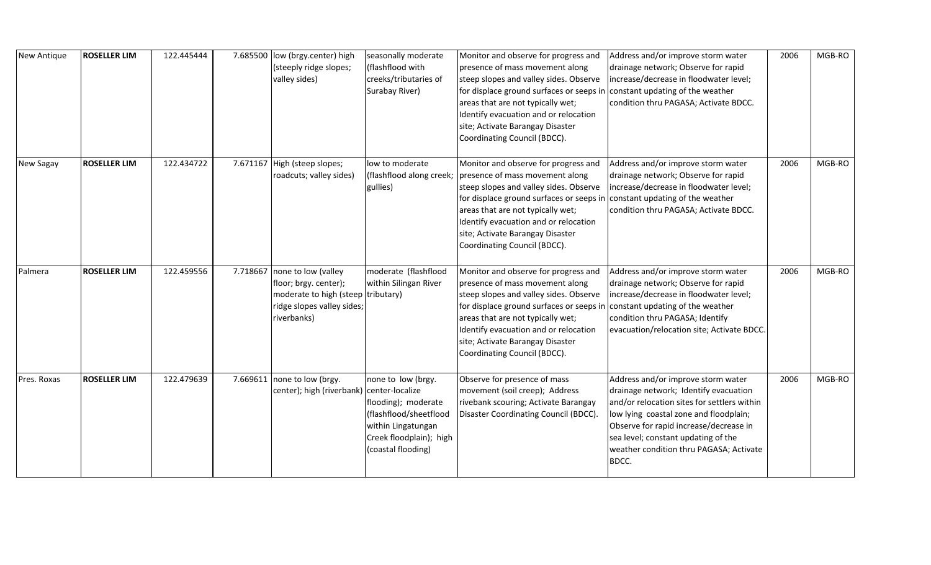| New Antique      | <b>ROSELLER LIM</b> | 122.445444 | 7.685500 | low (brgy.center) high<br>(steeply ridge slopes;<br>valley sides)                                                                        | seasonally moderate<br>(flashflood with<br>creeks/tributaries of<br>Surabay River)                                                         | Monitor and observe for progress and<br>presence of mass movement along<br>steep slopes and valley sides. Observe<br>for displace ground surfaces or seeps in<br>areas that are not typically wet;<br>Identify evacuation and or relocation<br>site; Activate Barangay Disaster<br>Coordinating Council (BDCC).                                  | Address and/or improve storm water<br>drainage network; Observe for rapid<br>increase/decrease in floodwater level;<br>constant updating of the weather<br>condition thru PAGASA; Activate BDCC.                                                                                                          | 2006 | MGB-RO |
|------------------|---------------------|------------|----------|------------------------------------------------------------------------------------------------------------------------------------------|--------------------------------------------------------------------------------------------------------------------------------------------|--------------------------------------------------------------------------------------------------------------------------------------------------------------------------------------------------------------------------------------------------------------------------------------------------------------------------------------------------|-----------------------------------------------------------------------------------------------------------------------------------------------------------------------------------------------------------------------------------------------------------------------------------------------------------|------|--------|
| <b>New Sagay</b> | <b>ROSELLER LIM</b> | 122.434722 |          | 7.671167 High (steep slopes;<br>roadcuts; valley sides)                                                                                  | low to moderate<br>(flashflood along creek;<br>gullies)                                                                                    | Monitor and observe for progress and<br>presence of mass movement along<br>steep slopes and valley sides. Observe<br>for displace ground surfaces or seeps in<br>areas that are not typically wet;<br>Identify evacuation and or relocation<br>site; Activate Barangay Disaster<br>Coordinating Council (BDCC).                                  | Address and/or improve storm water<br>drainage network; Observe for rapid<br>increase/decrease in floodwater level;<br>constant updating of the weather<br>condition thru PAGASA; Activate BDCC.                                                                                                          | 2006 | MGB-RO |
| Palmera          | <b>ROSELLER LIM</b> | 122.459556 |          | 7.718667 none to low (valley<br>floor; brgy. center);<br>moderate to high (steep tributary)<br>ridge slopes valley sides;<br>riverbanks) | moderate (flashflood<br>within Silingan River                                                                                              | Monitor and observe for progress and<br>presence of mass movement along<br>steep slopes and valley sides. Observe<br>for displace ground surfaces or seeps in constant updating of the weather<br>areas that are not typically wet;<br>Identify evacuation and or relocation<br>site; Activate Barangay Disaster<br>Coordinating Council (BDCC). | Address and/or improve storm water<br>drainage network; Observe for rapid<br>increase/decrease in floodwater level;<br>condition thru PAGASA; Identify<br>evacuation/relocation site; Activate BDCC.                                                                                                      | 2006 | MGB-RO |
| Pres. Roxas      | <b>ROSELLER LIM</b> | 122.479639 |          | 7.669611 none to low (brgy.<br>center); high (riverbank) center-localize                                                                 | none to low (brgy.<br>flooding); moderate<br>(flashflood/sheetflood<br>within Lingatungan<br>Creek floodplain); high<br>(coastal flooding) | Observe for presence of mass<br>movement (soil creep); Address<br>rivebank scouring; Activate Barangay<br>Disaster Coordinating Council (BDCC).                                                                                                                                                                                                  | Address and/or improve storm water<br>drainage network; Identify evacuation<br>and/or relocation sites for settlers within<br>low lying coastal zone and floodplain;<br>Observe for rapid increase/decrease in<br>sea level; constant updating of the<br>weather condition thru PAGASA; Activate<br>BDCC. | 2006 | MGB-RO |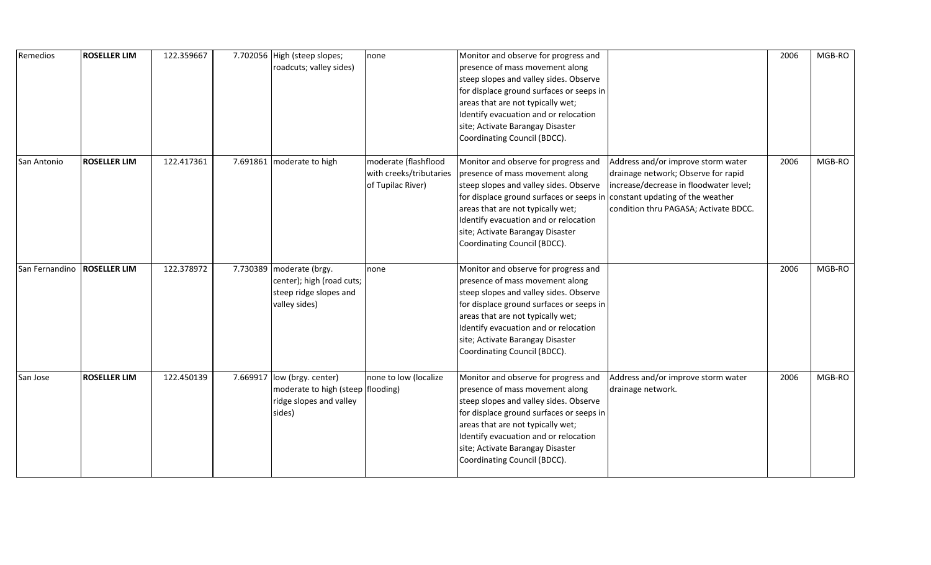| Remedios       | <b>ROSELLER LIM</b> | 122.359667 |          | 7.702056 High (steep slopes;<br>roadcuts; valley sides)                                          | none                                                                 | Monitor and observe for progress and<br>presence of mass movement along<br>steep slopes and valley sides. Observe<br>for displace ground surfaces or seeps in<br>areas that are not typically wet;<br>Identify evacuation and or relocation<br>site; Activate Barangay Disaster<br>Coordinating Council (BDCC).                                  |                                                                                                                                                              | 2006 | MGB-RO |
|----------------|---------------------|------------|----------|--------------------------------------------------------------------------------------------------|----------------------------------------------------------------------|--------------------------------------------------------------------------------------------------------------------------------------------------------------------------------------------------------------------------------------------------------------------------------------------------------------------------------------------------|--------------------------------------------------------------------------------------------------------------------------------------------------------------|------|--------|
| San Antonio    | <b>ROSELLER LIM</b> | 122.417361 |          | 7.691861 moderate to high                                                                        | moderate (flashflood<br>with creeks/tributaries<br>of Tupilac River) | Monitor and observe for progress and<br>presence of mass movement along<br>steep slopes and valley sides. Observe<br>for displace ground surfaces or seeps in constant updating of the weather<br>areas that are not typically wet;<br>Identify evacuation and or relocation<br>site; Activate Barangay Disaster<br>Coordinating Council (BDCC). | Address and/or improve storm water<br>drainage network; Observe for rapid<br>increase/decrease in floodwater level;<br>condition thru PAGASA; Activate BDCC. | 2006 | MGB-RO |
| San Fernandino | <b>ROSELLER LIM</b> | 122.378972 |          | 7.730389 moderate (brgy.<br>center); high (road cuts;<br>steep ridge slopes and<br>valley sides) | none                                                                 | Monitor and observe for progress and<br>presence of mass movement along<br>steep slopes and valley sides. Observe<br>for displace ground surfaces or seeps in<br>areas that are not typically wet;<br>Identify evacuation and or relocation<br>site; Activate Barangay Disaster<br>Coordinating Council (BDCC).                                  |                                                                                                                                                              | 2006 | MGB-RO |
| San Jose       | <b>ROSELLER LIM</b> | 122.450139 | 7.669917 | low (brgy. center)<br>moderate to high (steep flooding)<br>ridge slopes and valley<br>sides)     | none to low (localize                                                | Monitor and observe for progress and<br>presence of mass movement along<br>steep slopes and valley sides. Observe<br>for displace ground surfaces or seeps in<br>areas that are not typically wet;<br>Identify evacuation and or relocation<br>site; Activate Barangay Disaster<br>Coordinating Council (BDCC).                                  | Address and/or improve storm water<br>drainage network.                                                                                                      | 2006 | MGB-RO |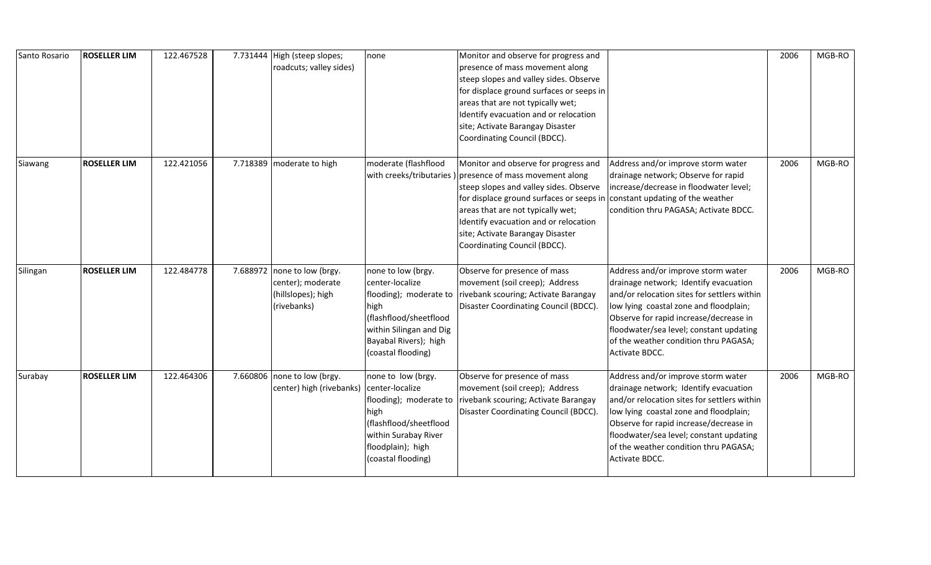| Santo Rosario | <b>ROSELLER LIM</b> | 122.467528 |          | 7.731444 High (steep slopes;<br>roadcuts; valley sides)                      | none                                                                                                                                                                        | Monitor and observe for progress and<br>presence of mass movement along<br>steep slopes and valley sides. Observe<br>for displace ground surfaces or seeps in<br>areas that are not typically wet;<br>Identify evacuation and or relocation<br>site; Activate Barangay Disaster<br>Coordinating Council (BDCC).                           |                                                                                                                                                                                                                                                                                                                      | 2006 | MGB-RO |
|---------------|---------------------|------------|----------|------------------------------------------------------------------------------|-----------------------------------------------------------------------------------------------------------------------------------------------------------------------------|-------------------------------------------------------------------------------------------------------------------------------------------------------------------------------------------------------------------------------------------------------------------------------------------------------------------------------------------|----------------------------------------------------------------------------------------------------------------------------------------------------------------------------------------------------------------------------------------------------------------------------------------------------------------------|------|--------|
| Siawang       | <b>ROSELLER LIM</b> | 122.421056 | 7.718389 | moderate to high                                                             | moderate (flashflood                                                                                                                                                        | Monitor and observe for progress and<br>with creeks/tributaries ) presence of mass movement along<br>steep slopes and valley sides. Observe<br>for displace ground surfaces or seeps in<br>areas that are not typically wet;<br>Identify evacuation and or relocation<br>site; Activate Barangay Disaster<br>Coordinating Council (BDCC). | Address and/or improve storm water<br>drainage network; Observe for rapid<br>increase/decrease in floodwater level;<br>constant updating of the weather<br>condition thru PAGASA; Activate BDCC.                                                                                                                     | 2006 | MGB-RO |
| Silingan      | <b>ROSELLER LIM</b> | 122.484778 | 7.688972 | none to low (brgy.<br>center); moderate<br>(hillslopes); high<br>(rivebanks) | none to low (brgy.<br>center-localize<br>flooding); moderate to<br>high<br>(flashflood/sheetflood<br>within Silingan and Dig<br>Bayabal Rivers); high<br>(coastal flooding) | Observe for presence of mass<br>movement (soil creep); Address<br>rivebank scouring; Activate Barangay<br>Disaster Coordinating Council (BDCC).                                                                                                                                                                                           | Address and/or improve storm water<br>drainage network; Identify evacuation<br>and/or relocation sites for settlers within<br>low lying coastal zone and floodplain;<br>Observe for rapid increase/decrease in<br>floodwater/sea level; constant updating<br>of the weather condition thru PAGASA;<br>Activate BDCC. | 2006 | MGB-RO |
| Surabay       | <b>ROSELLER LIM</b> | 122.464306 |          | 7.660806 none to low (brgy.<br>center) high (rivebanks)                      | none to low (brgy.<br>center-localize<br>high<br>(flashflood/sheetflood<br>within Surabay River<br>floodplain); high<br>(coastal flooding)                                  | Observe for presence of mass<br>movement (soil creep); Address<br>flooding); moderate to rivebank scouring; Activate Barangay<br>Disaster Coordinating Council (BDCC).                                                                                                                                                                    | Address and/or improve storm water<br>drainage network; Identify evacuation<br>and/or relocation sites for settlers within<br>low lying coastal zone and floodplain;<br>Observe for rapid increase/decrease in<br>floodwater/sea level; constant updating<br>of the weather condition thru PAGASA;<br>Activate BDCC. | 2006 | MGB-RO |